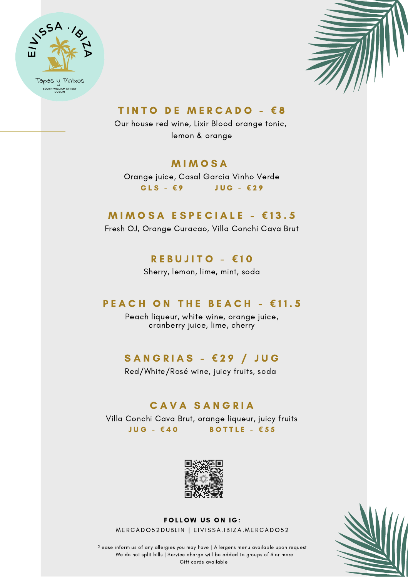



#### TINTO DE MERCADO - €8

Our house red wine, Lixir Blood orange tonic, lemon & orange

## **MIMOSA**

Orange juice, Casal Garcia Vinho Verde G L S - **€** 9 J U G - **€** 2 9

## **MIMOSA ESPECIALE - €13.5**

Fresh OJ, Orange Curacao, Villa Conchi Cava Brut

## R E B U J I T O - **€** 1 0

Sherry, lemon, lime, mint, soda

## **PEACH ON THE BEACH - €11.5**

Peach liqueur, white wine, orange juice, cranberry juice, lime, cherry

## SANGRIAS - €29 / JUG

Red/White/Rosé wine, juicy fruits, soda

## CAVA SANGRIA

Villa Conchi Cava Brut, orange liqueur, juicy fruits JUG - €40 BOTTLE - €55



MERCADO 52DUBLIN | EIVISSA.IBIZA.MERCADO 52 **FOLLOW US ON IG:** 

Please inform us of any allergies you may have | Allergens menu available upon request We do not split bills | Service charge will be added to groups of 6 or more Gift cards available

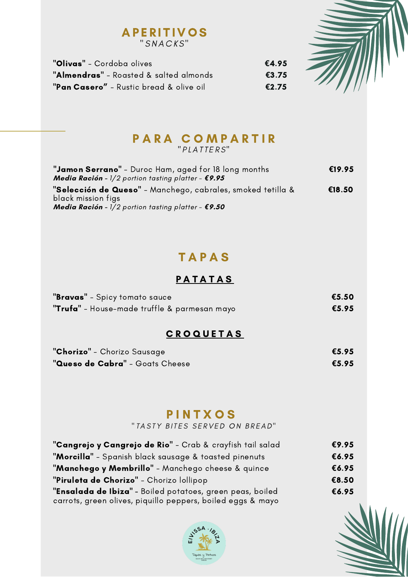#### **APERITIVOS**  $"SNACKS"$



"Olivas" - Cordoba olives **€**4.95 "Almendras" - Roasted & salted almonds **€**3.75 "Pan Casero" - Rustic bread & olive oil **€**2.75

## PARA COMPARTIR

" PLATTERS"

| "Jamon Serrano" - Duroc Ham, aged for 18 long months        | €19.95 |
|-------------------------------------------------------------|--------|
| <b>Media Ración</b> - 1/2 portion tasting platter - $£9.95$ |        |
| "Selección de Queso" - Manchego, cabrales, smoked tetilla & | €18.50 |
| black mission figs                                          |        |
| <b>Media Ración</b> - 1/2 portion tasting platter - $£9.50$ |        |

## **TAPAS**

#### PATATAS

| <b>"Bravas"</b> - Spicy tomato sauce                | €5.50 |
|-----------------------------------------------------|-------|
| <b>"Trufa"</b> - House-made truffle & parmesan mayo | €5.95 |

#### C R O Q U E T A S

| " <b>Chorizo</b> " - Chorizo Sausage | €5.95 |
|--------------------------------------|-------|
| "Queso de Cabra" - Goats Cheese      | €5.95 |

## **PINTXOS**

" TASTY BITES SERVED ON BREAD"

| "Cangrejo y Cangrejo de Rio" - Crab & crayfish tail salad   | €9.95 |
|-------------------------------------------------------------|-------|
| "Morcilla" - Spanish black sausage & toasted pinenuts       | €6.95 |
| "Manchego y Membrillo" - Manchego cheese & quince           | €6.95 |
| "Piruleta de Chorizo" - Chorizo lollipop                    | €8.50 |
| "Ensalada de Ibiza" - Boiled potatoes, green peas, boiled   | €6.95 |
| carrots, green olives, piquillo peppers, boiled eggs & mayo |       |



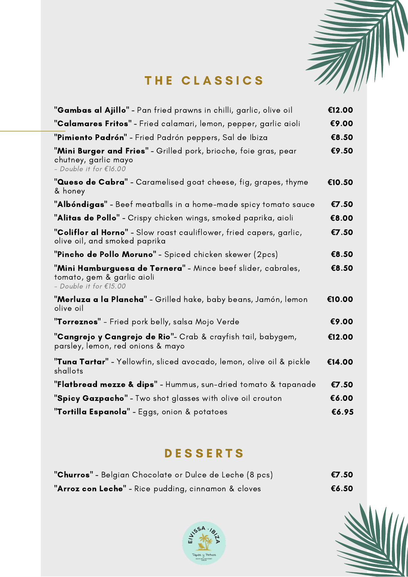

# THE CLASSICS

| "Gambas al Ajillo" - Pan fried prawns in chilli, garlic, olive oil                                                     | €12.00 |
|------------------------------------------------------------------------------------------------------------------------|--------|
| "Calamares Fritos" - Fried calamari, lemon, pepper, garlic aioli                                                       | €9.00  |
| "Pimiento Padrón" - Fried Padrón peppers, Sal de Ibiza                                                                 | €8.50  |
| "Mini Burger and Fries" - Grilled pork, brioche, foie gras, pear<br>chutney, garlic mayo<br>- Double it for $£16.00$   | €9.50  |
| "Queso de Cabra" - Caramelised goat cheese, fig, grapes, thyme<br>& honey                                              | €10.50 |
| "Albóndigas" - Beef meatballs in a home-made spicy tomato sauce                                                        | €7.50  |
| "Alitas de Pollo" - Crispy chicken wings, smoked paprika, aioli                                                        | €8.00  |
| "Coliflor al Horno" - Slow roast cauliflower, fried capers, garlic,<br>olive oil, and smoked paprika                   | €7.50  |
| "Pincho de Pollo Moruno" - Spiced chicken skewer (2pcs)                                                                | €8.50  |
| "Mini Hamburguesa de Ternera" - Mince beef slider, cabrales,<br>tomato, gem & garlic aioli<br>- Double it for $£15.00$ | €8.50  |
| "Merluza a la Plancha" - Grilled hake, baby beans, Jamón, lemon<br>olive oil                                           | €10.00 |
| "Torreznos" – Fried pork belly, salsa Mojo Verde                                                                       | €9.00  |
| "Cangrejo y Cangrejo de Rio"- Crab & crayfish tail, babygem,<br>parsley, lemon, red onions & mayo                      | €12.00 |
| "Tuna Tartar" - Yellowfin, sliced avocado, lemon, olive oil & pickle<br>shallots                                       | €14.00 |
| "Flatbread mezze & dips" - Hummus, sun-dried tomato & tapanade                                                         | €7.50  |
| "Spicy Gazpacho" - Two shot glasses with olive oil crouton                                                             | €6.00  |
| "Tortilla Espanola" - Eggs, onion & potatoes                                                                           | €6.95  |

## **DESSERTS**

| "Churros" - Belgian Chocolate or Dulce de Leche (8 pcs) | €7.50 |
|---------------------------------------------------------|-------|
| "Arroz con Leche" - Rice pudding, cinnamon & cloves     | €6.50 |



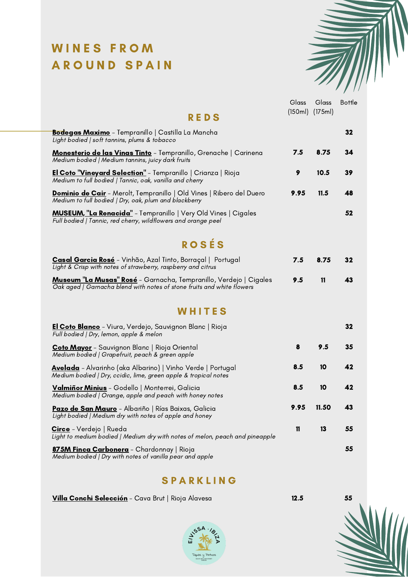# WINES FROM AROUND SPAIN



|                                                                                                                                                    | Glass<br>(150ml) | Glass<br>(175ml) | <b>Bottle</b> |
|----------------------------------------------------------------------------------------------------------------------------------------------------|------------------|------------------|---------------|
| <b>REDS</b>                                                                                                                                        |                  |                  |               |
| <u>Bodegas Maximo</u> - Tempranillo   Castilla La Mancha<br>Light bodied   soft tannins, plums & tobacco                                           |                  |                  | 32            |
| <u> <b>Monesterio de las Vinas Tinto</b> - T</u> empranillo, Grenache   Carinena<br>Medium bodied   Medium tannins, juicy dark fruits              | 7.5              | 8.75             | 34            |
| <b>El Coto "Vineyard Selection"</b> - Tempranillo   Crianza   Rioja<br>Medium to full bodied   Tannic, oak, vanilla and cherry                     | 9                | 10.5             | 39            |
| <u> <b>Dominio de Cair</b></u> - Merolt, Tempranillo   Old Vines   Ribero del Duero<br>Medium to full bodied   Dry, oak, plum and blackberry       | 9.95             | 11.5             | 48            |
| <b>MUSEUM, "La Renacida"</b> - Tempranillo   Very Old Vines   Cigales<br>Full bodied   Tannic, red cherry, wildflowers and orange peel             |                  |                  | 52            |
| <b>ROSÉS</b>                                                                                                                                       |                  |                  |               |
| Casal Garcia Rosé - Vinhão, Azal Tinto, Borraçal   Portugal<br>Light & Crisp with notes of strawberry, raspberry and citrus                        | 7.5              | 8.75             | 32            |
| <b>Museum "La Musas" Rosé</b> - Garnacha, Tempranillo, Verdejo   Cigales<br>Oak aged   Garnacha blend with notes of stone fruits and white flowers | 9.5              | 11               | 43            |
| WHITES                                                                                                                                             |                  |                  |               |
| <b>El Coto Blanco</b> - Viura, Verdejo, Sauvignon Blanc   Rioja<br>Full bodied   Dry, lemon, apple & melon                                         |                  |                  | 32            |
| <u> <b>Coto Mayor</b></u> - Sauvignon Blanc   Rioja Oriental<br>Medium bodied   Grapefruit, peach & green apple                                    | 8                | 9.5              | 35            |
| <b>Avelada</b> - Alvarinho (aka Albarino)   Vinho Verde   Portugal<br>Medium bodied   Dry, ccidic, lime, green apple & tropical notes              | 8.5              | 10               | 42            |
| Valmiñor Minius - Godello   Monterrei, Galicia<br>Medium bodied   Orange, apple and peach with honey notes                                         | 8.5              | 10               | 42            |
| Pazo de San Mauro - Albariño   Rías Baixas, Galicia<br>Light bodied   Medium dry with notes of apple and honey                                     | 9.95             | 11.50            | 43            |
| <u> Circe</u> - Verdejo   Rueda<br>Light to medium bodied   Medium dry with notes of melon, peach and pineapple                                    | 11               | 13               | 55            |
| 875M Finca Carbonera - Chardonnay   Rioja<br>Medium bodied   Dry with notes of vanilla pear and apple                                              |                  |                  | 55            |

#### **SPARKLING**

Villa Conchi Selección - Cava Brut | Rioja Alavesa

| <b>SSA</b><br>$\cdot$ / $\phi$<br>Ξ'n                    |
|----------------------------------------------------------|
| Tapas y Pintxos<br>SOUTH WILLIAM STREET<br><b>DUBLIN</b> |

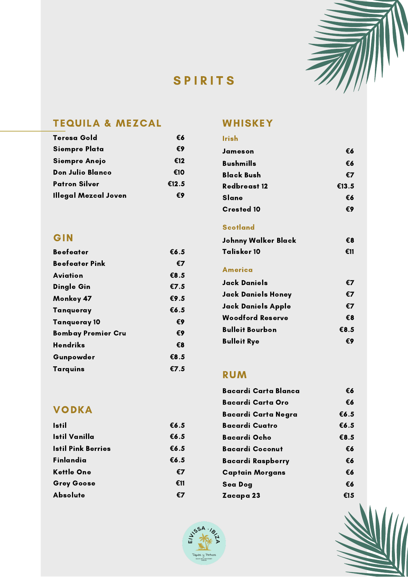

## **SPIRITS**

#### TEQUILA & MEZCAL WHISKEY

| Teresa Gold          | €6    |
|----------------------|-------|
| Siempre Plata        | €9    |
| <b>Siempre Anejo</b> | €12   |
| Don Julio Blanco     | €10   |
| <b>Patron Silver</b> | €12.5 |
| Illegal Mezcal Joven | €9    |

#### GIN

| <b>Beefeater</b>          | €6.5 |
|---------------------------|------|
| <b>Beefeater Pink</b>     | €7   |
| <b>Aviation</b>           | €8.5 |
| <b>Dingle Gin</b>         | €7.5 |
| Monkey 47                 | €9.5 |
| Tanqueray                 | €6.5 |
| <b>Tanqueray 10</b>       | €9   |
| <b>Bombay Premier Cru</b> | €9   |
| <b>Hendriks</b>           | €8   |
| Gunpowder                 | €8.5 |
| Tarquins                  | €7.5 |

**€**6 Irish

| €9    | Jameson                 | €6                                                                   |
|-------|-------------------------|----------------------------------------------------------------------|
| €12   | <b>Bushmills</b>        | €6                                                                   |
| €10   | <b>Black Bush</b>       | €7                                                                   |
| €12.5 | <b>Redbreast 12</b>     | €13.5                                                                |
| €9    | Slane                   | €6                                                                   |
|       | <b>Crested 10</b>       | €9                                                                   |
|       | <b>Scotland</b>         |                                                                      |
|       | Johnny Walker Black     | €8                                                                   |
| €6.5  | Talisker 10             | €11                                                                  |
| €7    |                         |                                                                      |
|       |                         | €7                                                                   |
| €7.5  |                         |                                                                      |
| €9.5  |                         | €7                                                                   |
| €6.5  | Jack Daniels Apple      | €7                                                                   |
|       | <b>Woodford Reserve</b> | €8                                                                   |
|       | <b>Bulleit Bourbon</b>  | €8.5                                                                 |
| €R    | <b>Bulleit Rye</b>      | €9                                                                   |
|       | τυ<br>€8.5<br>€9<br>€9  | <u>ırısn</u><br><b>America</b><br>Jack Daniels<br>Jack Daniels Honey |

## RUM

| Bacardi Carta Blanca   | €6   |
|------------------------|------|
| Bacardi Carta Oro      | €6   |
| Bacardi Carta Negra    | €6.5 |
| <b>Bacardi Cuatro</b>  | €6.5 |
| Bacardi Ocho           | €8.5 |
| <b>Bacardi Coconut</b> | €6   |
| Bacardi Raspberry      | €6   |
| <b>Captain Morgans</b> | €6   |
| Sea Dog                | €6   |
| Zacapa 23              | €15  |





#### VODKA

| <b>Istil</b>              | €6.5 |
|---------------------------|------|
| Istil Vanilla             | €6.5 |
| <b>Istil Pink Berries</b> | €6.5 |
| Finlandia                 | €6.5 |
| Kettle One                | €7   |
| <b>Grey Goose</b>         | €11  |
| <b>Absolute</b>           | 67   |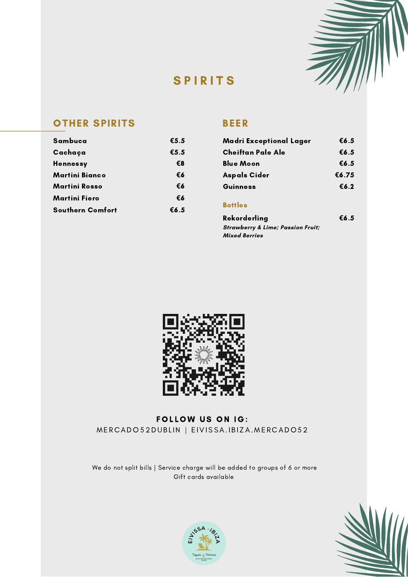

**€**6.5

## **SPIRITS**

#### OTHER SPIRITS

| Sambuca                 | €5.5 |
|-------------------------|------|
| Cachaça                 | €5.5 |
| <b>Hennessy</b>         | €8   |
| Martini Bianco          | €6   |
| Martini Rosso           | €6   |
| Martini Fiero           | €6   |
| <b>Southern Comfort</b> | €6.5 |

#### BEER

| Madri Exceptional Lager | €6.5  |
|-------------------------|-------|
| Cheiftan Pale Ale       | €6.5  |
| Blue Moon               | €6.5  |
| <b>Aspals Cider</b>     | €6.75 |
| Guinness                | €6.2  |
| <b>Bottles</b>          |       |

Rekorderling **Strawberry & Lime; Passion Fruit; Mixed Berries**



#### MERCADO 52DUBLIN | EIVISSA.IBIZA.MERCADO 52 **FOLLOW US ON IG:**

We do not split bills | Service charge will be added to groups of 6 or more Gift cards available